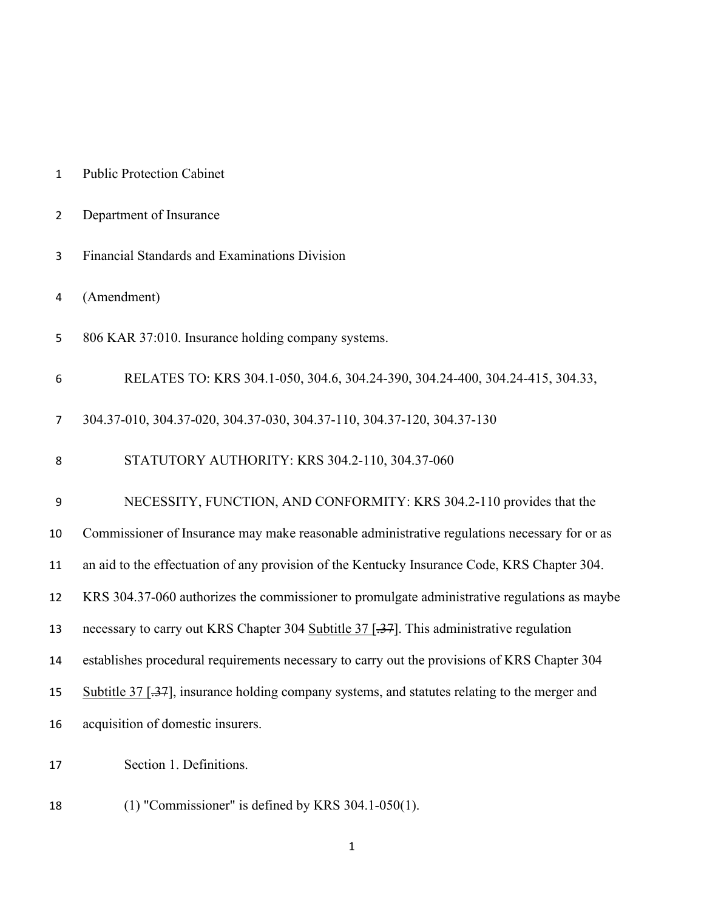| $\overline{2}$ | Department of Insurance                                                                       |
|----------------|-----------------------------------------------------------------------------------------------|
| 3              | Financial Standards and Examinations Division                                                 |
| 4              | (Amendment)                                                                                   |
| 5              | 806 KAR 37:010. Insurance holding company systems.                                            |
| 6              | RELATES TO: KRS 304.1-050, 304.6, 304.24-390, 304.24-400, 304.24-415, 304.33,                 |
| 7              | 304.37-010, 304.37-020, 304.37-030, 304.37-110, 304.37-120, 304.37-130                        |
| 8              | STATUTORY AUTHORITY: KRS 304.2-110, 304.37-060                                                |
| 9              | NECESSITY, FUNCTION, AND CONFORMITY: KRS 304.2-110 provides that the                          |
| 10             | Commissioner of Insurance may make reasonable administrative regulations necessary for or as  |
| 11             | an aid to the effectuation of any provision of the Kentucky Insurance Code, KRS Chapter 304.  |
| 12             | KRS 304.37-060 authorizes the commissioner to promulgate administrative regulations as maybe  |
| 13             | necessary to carry out KRS Chapter 304 Subtitle 37 [.37]. This administrative regulation      |
| 14             | establishes procedural requirements necessary to carry out the provisions of KRS Chapter 304  |
| 15             | Subtitle 37 [.37], insurance holding company systems, and statutes relating to the merger and |
| 16             | acquisition of domestic insurers.                                                             |
| 17             | Section 1. Definitions.                                                                       |
| 18             | $(1)$ "Commissioner" is defined by KRS 304.1-050 $(1)$ .                                      |

Public Protection Cabinet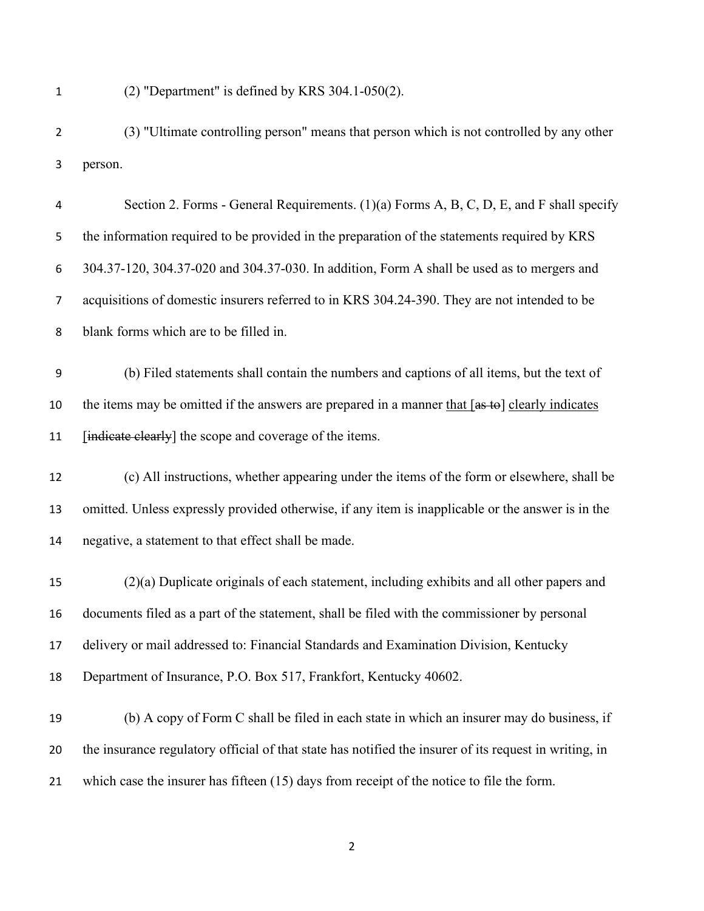(2) "Department" is defined by KRS 304.1-050(2).

(3) "Ultimate controlling person" means that person which is not controlled by any other person.

Section 2. Forms - General Requirements. (1)(a) Forms A, B, C, D, E, and F shall specify the information required to be provided in the preparation of the statements required by KRS 304.37-120, 304.37-020 and 304.37-030. In addition, Form A shall be used as to mergers and acquisitions of domestic insurers referred to in KRS 304.24-390. They are not intended to be blank forms which are to be filled in.

(b) Filed statements shall contain the numbers and captions of all items, but the text of 10 the items may be omitted if the answers are prepared in a manner that [as to] clearly indicates 11 [indicate clearly] the scope and coverage of the items.

 (c) All instructions, whether appearing under the items of the form or elsewhere, shall be omitted. Unless expressly provided otherwise, if any item is inapplicable or the answer is in the negative, a statement to that effect shall be made.

 (2)(a) Duplicate originals of each statement, including exhibits and all other papers and documents filed as a part of the statement, shall be filed with the commissioner by personal delivery or mail addressed to: Financial Standards and Examination Division, Kentucky Department of Insurance, P.O. Box 517, Frankfort, Kentucky 40602.

 (b) A copy of Form C shall be filed in each state in which an insurer may do business, if the insurance regulatory official of that state has notified the insurer of its request in writing, in which case the insurer has fifteen (15) days from receipt of the notice to file the form.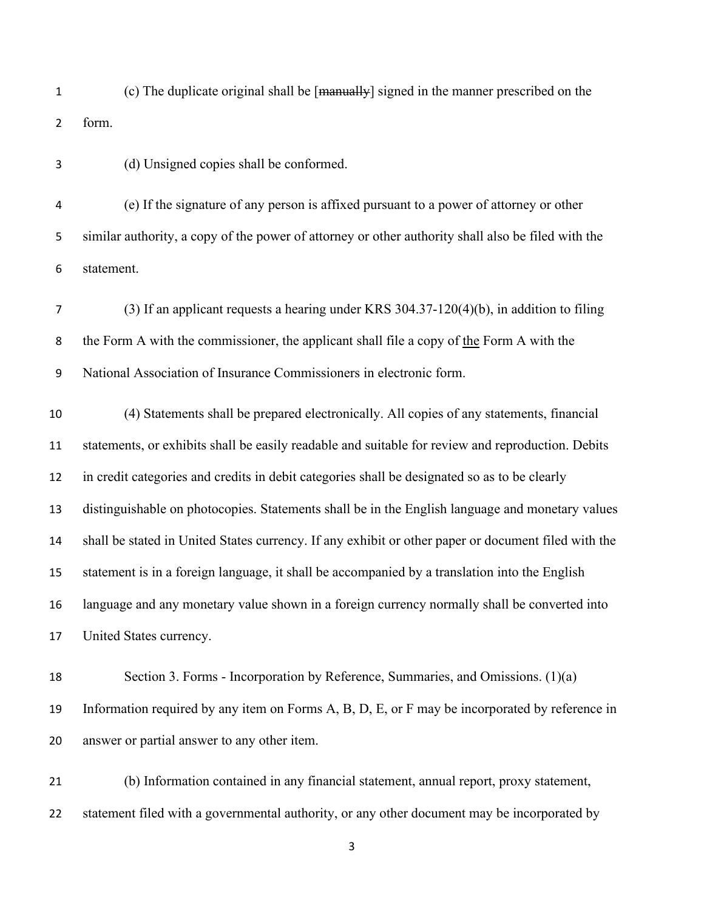(c) The duplicate original shall be [manually] signed in the manner prescribed on the form.

(d) Unsigned copies shall be conformed.

(e) If the signature of any person is affixed pursuant to a power of attorney or other similar authority, a copy of the power of attorney or other authority shall also be filed with the statement.

(3) If an applicant requests a hearing under KRS 304.37-120(4)(b), in addition to filing the Form A with the commissioner, the applicant shall file a copy of the Form A with the National Association of Insurance Commissioners in electronic form.

 (4) Statements shall be prepared electronically. All copies of any statements, financial statements, or exhibits shall be easily readable and suitable for review and reproduction. Debits in credit categories and credits in debit categories shall be designated so as to be clearly distinguishable on photocopies. Statements shall be in the English language and monetary values shall be stated in United States currency. If any exhibit or other paper or document filed with the statement is in a foreign language, it shall be accompanied by a translation into the English language and any monetary value shown in a foreign currency normally shall be converted into United States currency.

 Section 3. Forms - Incorporation by Reference, Summaries, and Omissions. (1)(a) Information required by any item on Forms A, B, D, E, or F may be incorporated by reference in answer or partial answer to any other item.

 (b) Information contained in any financial statement, annual report, proxy statement, statement filed with a governmental authority, or any other document may be incorporated by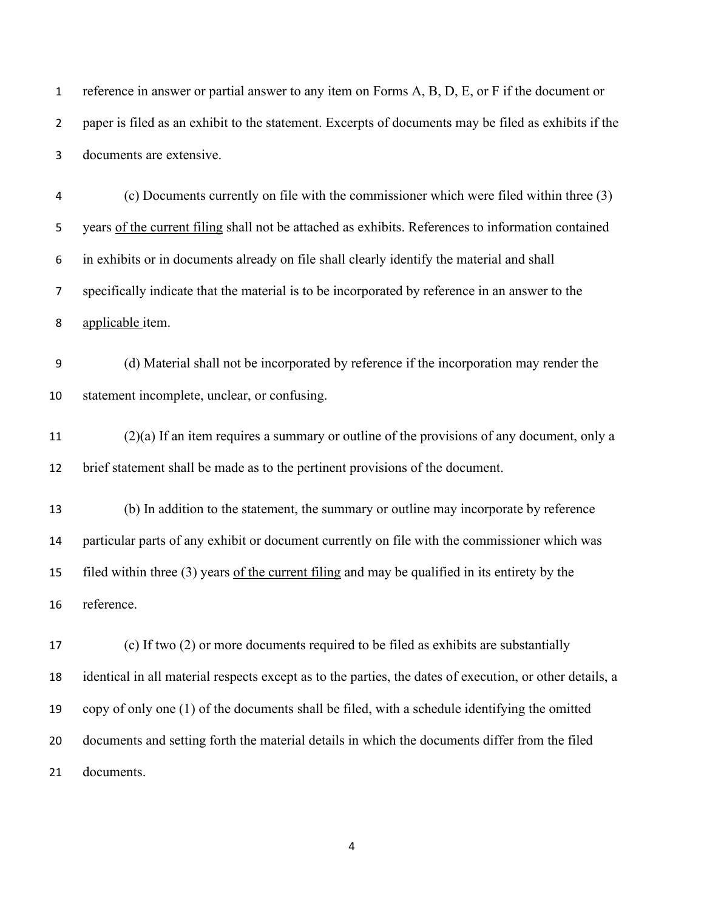reference in answer or partial answer to any item on Forms A, B, D, E, or F if the document or paper is filed as an exhibit to the statement. Excerpts of documents may be filed as exhibits if the documents are extensive.

(c) Documents currently on file with the commissioner which were filed within three (3) years of the current filing shall not be attached as exhibits. References to information contained in exhibits or in documents already on file shall clearly identify the material and shall specifically indicate that the material is to be incorporated by reference in an answer to the applicable item.

(d) Material shall not be incorporated by reference if the incorporation may render the statement incomplete, unclear, or confusing.

11  $(2)(a)$  If an item requires a summary or outline of the provisions of any document, only a brief statement shall be made as to the pertinent provisions of the document.

 (b) In addition to the statement, the summary or outline may incorporate by reference particular parts of any exhibit or document currently on file with the commissioner which was filed within three (3) years of the current filing and may be qualified in its entirety by the reference.

 (c) If two (2) or more documents required to be filed as exhibits are substantially identical in all material respects except as to the parties, the dates of execution, or other details, a copy of only one (1) of the documents shall be filed, with a schedule identifying the omitted documents and setting forth the material details in which the documents differ from the filed documents.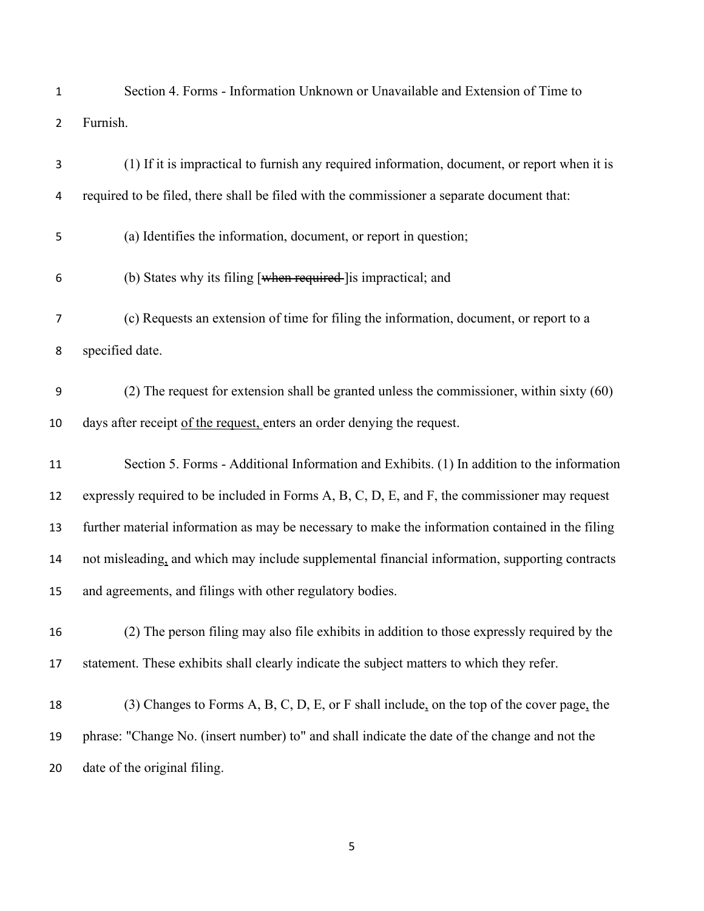| 1              | Section 4. Forms - Information Unknown or Unavailable and Extension of Time to                   |
|----------------|--------------------------------------------------------------------------------------------------|
| $\overline{2}$ | Furnish.                                                                                         |
| 3              | (1) If it is impractical to furnish any required information, document, or report when it is     |
| 4              | required to be filed, there shall be filed with the commissioner a separate document that:       |
| 5              | (a) Identifies the information, document, or report in question;                                 |
| 6              | (b) States why its filing [when required-] is impractical; and                                   |
| 7              | (c) Requests an extension of time for filing the information, document, or report to a           |
| 8              | specified date.                                                                                  |
| 9              | $(2)$ The request for extension shall be granted unless the commissioner, within sixty $(60)$    |
| 10             | days after receipt of the request, enters an order denying the request.                          |
| 11             | Section 5. Forms - Additional Information and Exhibits. (1) In addition to the information       |
| 12             | expressly required to be included in Forms A, B, C, D, E, and F, the commissioner may request    |
| 13             | further material information as may be necessary to make the information contained in the filing |
| 14             | not misleading, and which may include supplemental financial information, supporting contracts   |
| 15             | and agreements, and filings with other regulatory bodies.                                        |
| 16             | (2) The person filing may also file exhibits in addition to those expressly required by the      |
| 17             | statement. These exhibits shall clearly indicate the subject matters to which they refer.        |
| 18             | (3) Changes to Forms A, B, C, D, E, or F shall include, on the top of the cover page, the        |
| 19             | phrase: "Change No. (insert number) to" and shall indicate the date of the change and not the    |

date of the original filing.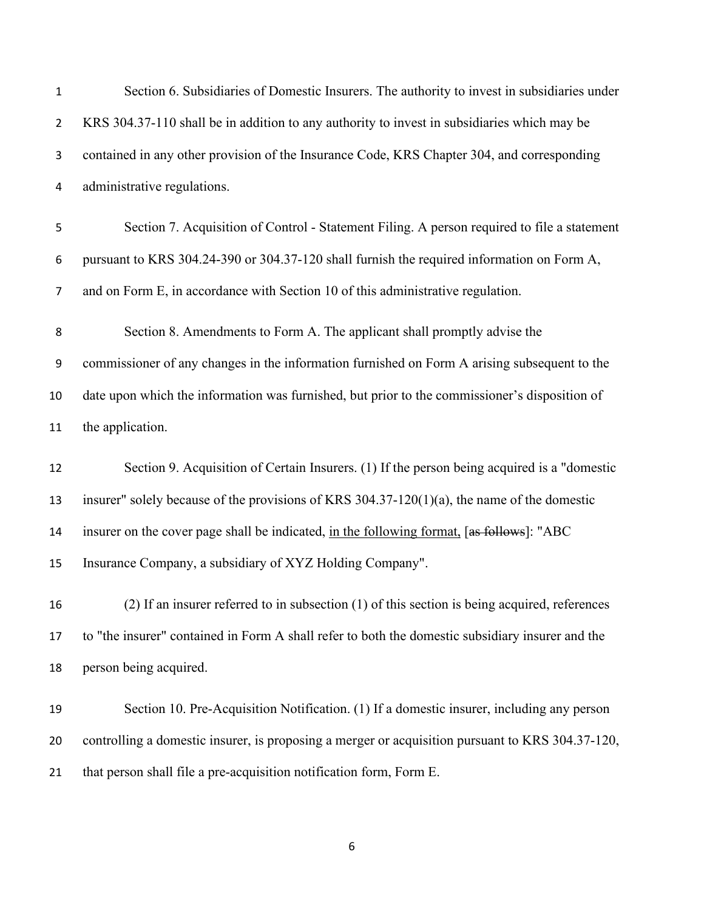| $\mathbf{1}$   | Section 6. Subsidiaries of Domestic Insurers. The authority to invest in subsidiaries under      |
|----------------|--------------------------------------------------------------------------------------------------|
| $\overline{2}$ | KRS 304.37-110 shall be in addition to any authority to invest in subsidiaries which may be      |
| 3              | contained in any other provision of the Insurance Code, KRS Chapter 304, and corresponding       |
| 4              | administrative regulations.                                                                      |
| 5              | Section 7. Acquisition of Control - Statement Filing. A person required to file a statement      |
| 6              | pursuant to KRS 304.24-390 or 304.37-120 shall furnish the required information on Form A,       |
| $\overline{7}$ | and on Form E, in accordance with Section 10 of this administrative regulation.                  |
| 8              | Section 8. Amendments to Form A. The applicant shall promptly advise the                         |
| 9              | commissioner of any changes in the information furnished on Form A arising subsequent to the     |
| 10             | date upon which the information was furnished, but prior to the commissioner's disposition of    |
| 11             | the application.                                                                                 |
| 12             | Section 9. Acquisition of Certain Insurers. (1) If the person being acquired is a "domestic      |
| 13             | insurer" solely because of the provisions of KRS 304.37-120(1)(a), the name of the domestic      |
| 14             | insurer on the cover page shall be indicated, in the following format, [as follows]: "ABC        |
| 15             | Insurance Company, a subsidiary of XYZ Holding Company".                                         |
| 16             | (2) If an insurer referred to in subsection (1) of this section is being acquired, references    |
| 17             | to "the insurer" contained in Form A shall refer to both the domestic subsidiary insurer and the |
| 18             | person being acquired.                                                                           |
| 19             | Section 10. Pre-Acquisition Notification. (1) If a domestic insurer, including any person        |
| 20             | controlling a domestic insurer, is proposing a merger or acquisition pursuant to KRS 304.37-120, |
| 21             | that person shall file a pre-acquisition notification form, Form E.                              |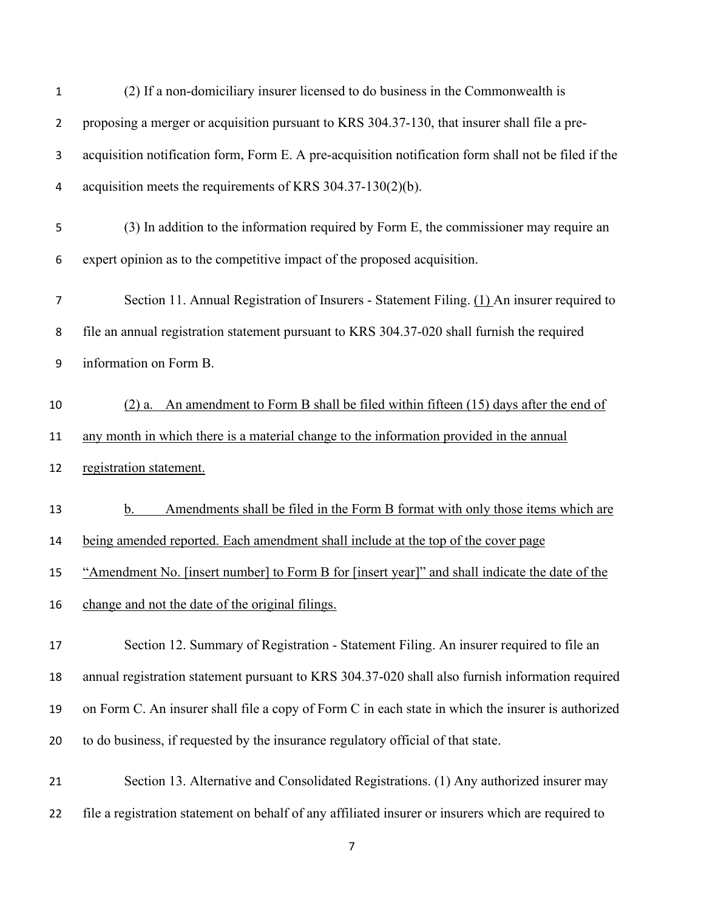| 1              | (2) If a non-domiciliary insurer licensed to do business in the Commonwealth is                      |
|----------------|------------------------------------------------------------------------------------------------------|
| $\overline{2}$ | proposing a merger or acquisition pursuant to KRS 304.37-130, that insurer shall file a pre-         |
| 3              | acquisition notification form, Form E. A pre-acquisition notification form shall not be filed if the |
| 4              | acquisition meets the requirements of KRS $304.37-130(2)(b)$ .                                       |
| 5              | (3) In addition to the information required by Form E, the commissioner may require an               |
| 6              | expert opinion as to the competitive impact of the proposed acquisition.                             |
| 7              | Section 11. Annual Registration of Insurers - Statement Filing. (1) An insurer required to           |
| 8              | file an annual registration statement pursuant to KRS 304.37-020 shall furnish the required          |
| 9              | information on Form B.                                                                               |
| 10             | $(2)$ a. An amendment to Form B shall be filed within fifteen $(15)$ days after the end of           |
| 11             | any month in which there is a material change to the information provided in the annual              |
| 12             | registration statement.                                                                              |
| 13             | Amendments shall be filed in the Form B format with only those items which are<br>b.                 |
| 14             | being amended reported. Each amendment shall include at the top of the cover page                    |
| 15             | "Amendment No. [insert number] to Form B for [insert year]" and shall indicate the date of the       |
| 16             | change and not the date of the original filings.                                                     |
| 17             | Section 12. Summary of Registration - Statement Filing. An insurer required to file an               |
| 18             | annual registration statement pursuant to KRS 304.37-020 shall also furnish information required     |
| 19             | on Form C. An insurer shall file a copy of Form C in each state in which the insurer is authorized   |
| 20             | to do business, if requested by the insurance regulatory official of that state.                     |
| 21             | Section 13. Alternative and Consolidated Registrations. (1) Any authorized insurer may               |
| 22             | file a registration statement on behalf of any affiliated insurer or insurers which are required to  |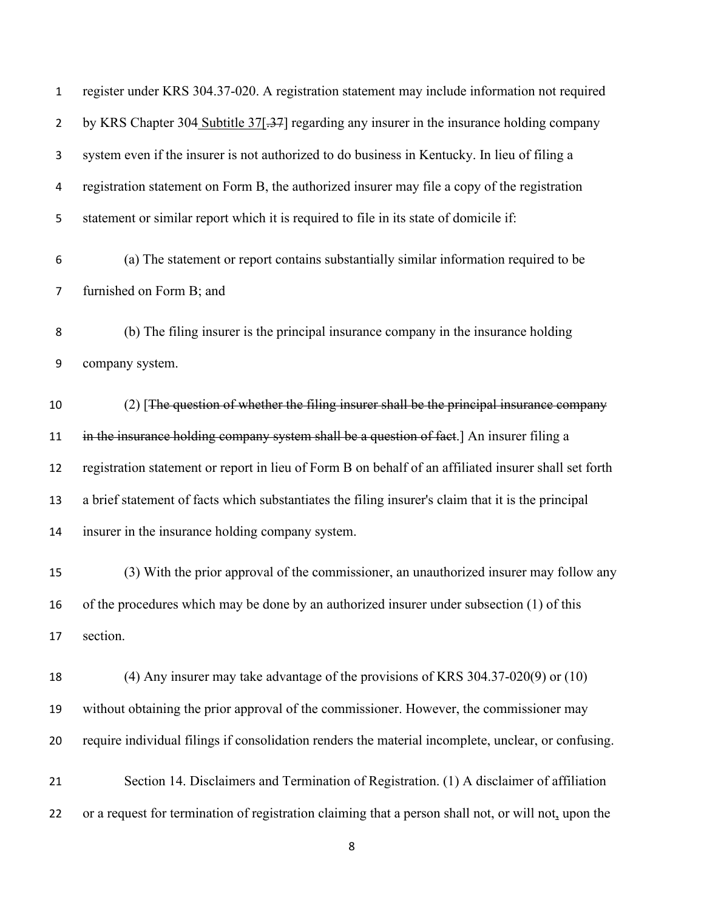| $\mathbf{1}$   | register under KRS 304.37-020. A registration statement may include information not required          |
|----------------|-------------------------------------------------------------------------------------------------------|
| $\overline{2}$ | by KRS Chapter 304 Subtitle 37[-37] regarding any insurer in the insurance holding company            |
| 3              | system even if the insurer is not authorized to do business in Kentucky. In lieu of filing a          |
| 4              | registration statement on Form B, the authorized insurer may file a copy of the registration          |
| 5              | statement or similar report which it is required to file in its state of domicile if:                 |
| 6              | (a) The statement or report contains substantially similar information required to be                 |
| 7              | furnished on Form B; and                                                                              |
| 8              | (b) The filing insurer is the principal insurance company in the insurance holding                    |
| 9              | company system.                                                                                       |
| 10             | $(2)$ [The question of whether the filing insurer shall be the principal insurance company            |
| 11             | in the insurance holding company system shall be a question of fact.] An insurer filing a             |
| 12             | registration statement or report in lieu of Form B on behalf of an affiliated insurer shall set forth |
| 13             | a brief statement of facts which substantiates the filing insurer's claim that it is the principal    |
| 14             | insurer in the insurance holding company system.                                                      |
| 15             | (3) With the prior approval of the commissioner, an unauthorized insurer may follow any               |
| 16             | of the procedures which may be done by an authorized insurer under subsection (1) of this             |
| 17             | section.                                                                                              |
| 18             | (4) Any insurer may take advantage of the provisions of KRS $304.37-020(9)$ or $(10)$                 |
| 19             | without obtaining the prior approval of the commissioner. However, the commissioner may               |
| 20             | require individual filings if consolidation renders the material incomplete, unclear, or confusing.   |
| 21             | Section 14. Disclaimers and Termination of Registration. (1) A disclaimer of affiliation              |
| 22             | or a request for termination of registration claiming that a person shall not, or will not, upon the  |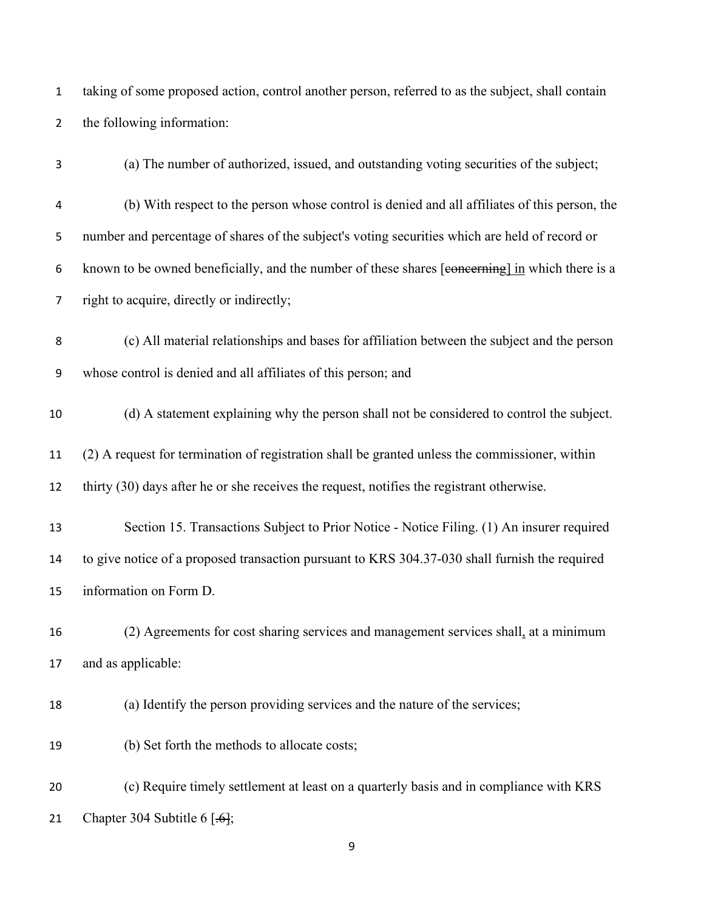taking of some proposed action, control another person, referred to as the subject, shall contain the following information:

(a) The number of authorized, issued, and outstanding voting securities of the subject; (b) With respect to the person whose control is denied and all affiliates of this person, the number and percentage of shares of the subject's voting securities which are held of record or known to be owned beneficially, and the number of these shares [concerning] in which there is a right to acquire, directly or indirectly; (c) All material relationships and bases for affiliation between the subject and the person whose control is denied and all affiliates of this person; and (d) A statement explaining why the person shall not be considered to control the subject. (2) A request for termination of registration shall be granted unless the commissioner, within thirty (30) days after he or she receives the request, notifies the registrant otherwise. Section 15. Transactions Subject to Prior Notice - Notice Filing. (1) An insurer required to give notice of a proposed transaction pursuant to KRS 304.37-030 shall furnish the required information on Form D. (2) Agreements for cost sharing services and management services shall, at a minimum and as applicable: (a) Identify the person providing services and the nature of the services;

 (c) Require timely settlement at least on a quarterly basis and in compliance with KRS 21 Chapter 304 Subtitle  $6 \overline{6}$ ;

(b) Set forth the methods to allocate costs;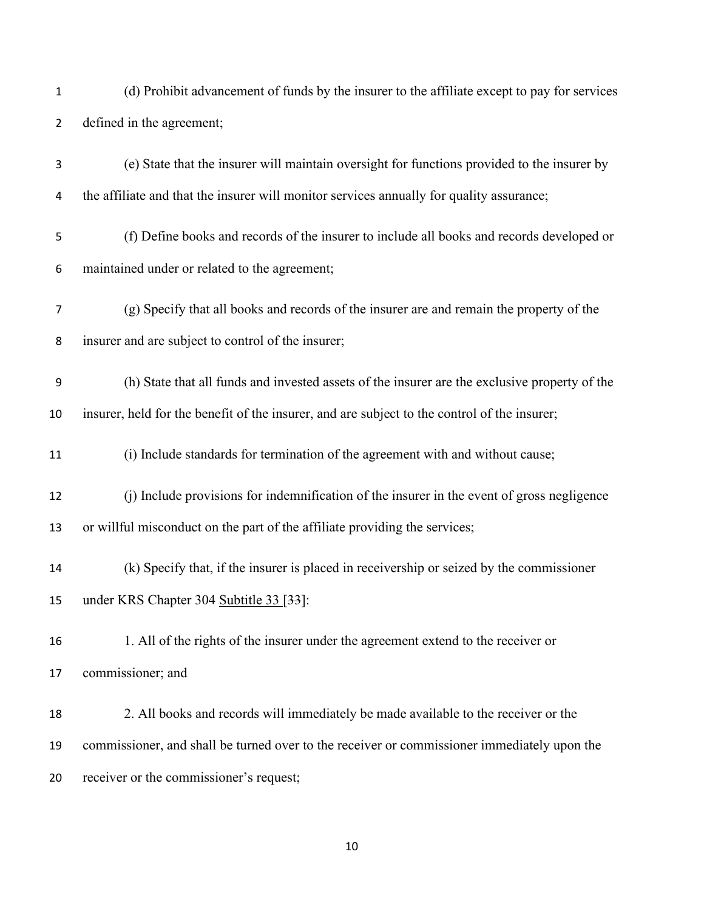- (d) Prohibit advancement of funds by the insurer to the affiliate except to pay for services defined in the agreement;
- (e) State that the insurer will maintain oversight for functions provided to the insurer by 4 the affiliate and that the insurer will monitor services annually for quality assurance;
- (f) Define books and records of the insurer to include all books and records developed or maintained under or related to the agreement;
- (g) Specify that all books and records of the insurer are and remain the property of the insurer and are subject to control of the insurer;
- (h) State that all funds and invested assets of the insurer are the exclusive property of the insurer, held for the benefit of the insurer, and are subject to the control of the insurer;
- (i) Include standards for termination of the agreement with and without cause;
- (j) Include provisions for indemnification of the insurer in the event of gross negligence or willful misconduct on the part of the affiliate providing the services;
- (k) Specify that, if the insurer is placed in receivership or seized by the commissioner 15 under KRS Chapter 304 Subtitle 33 [33]:
- 1. All of the rights of the insurer under the agreement extend to the receiver or commissioner; and
- 2. All books and records will immediately be made available to the receiver or the commissioner, and shall be turned over to the receiver or commissioner immediately upon the receiver or the commissioner's request;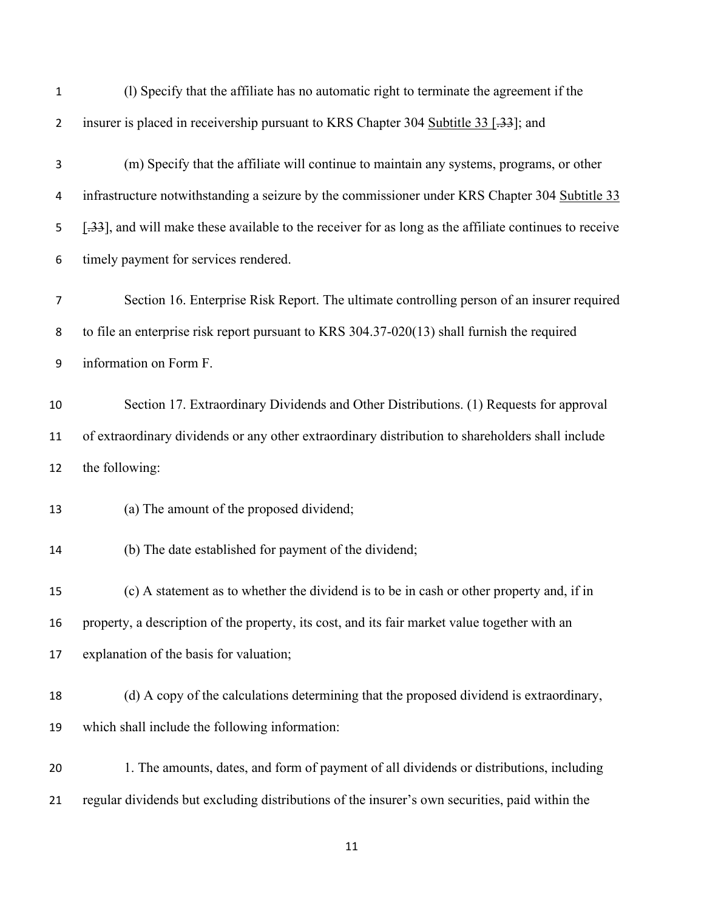| $\mathbf 1$    | (1) Specify that the affiliate has no automatic right to terminate the agreement if the                |
|----------------|--------------------------------------------------------------------------------------------------------|
| $\overline{2}$ | insurer is placed in receivership pursuant to KRS Chapter 304 Subtitle 33 [.33]; and                   |
| 3              | (m) Specify that the affiliate will continue to maintain any systems, programs, or other               |
| 4              | infrastructure notwithstanding a seizure by the commissioner under KRS Chapter 304 Subtitle 33         |
| 5              | [.33], and will make these available to the receiver for as long as the affiliate continues to receive |
| 6              | timely payment for services rendered.                                                                  |
| $\overline{7}$ | Section 16. Enterprise Risk Report. The ultimate controlling person of an insurer required             |
| 8              | to file an enterprise risk report pursuant to KRS $304.37-020(13)$ shall furnish the required          |
| 9              | information on Form F.                                                                                 |
| 10             | Section 17. Extraordinary Dividends and Other Distributions. (1) Requests for approval                 |
| 11             | of extraordinary dividends or any other extraordinary distribution to shareholders shall include       |
| 12             | the following:                                                                                         |
| 13             | (a) The amount of the proposed dividend;                                                               |
| 14             | (b) The date established for payment of the dividend;                                                  |
| 15             | (c) A statement as to whether the dividend is to be in cash or other property and, if in               |
| 16             | property, a description of the property, its cost, and its fair market value together with an          |
| 17             | explanation of the basis for valuation;                                                                |
| 18             | (d) A copy of the calculations determining that the proposed dividend is extraordinary,                |
| 19             | which shall include the following information:                                                         |
| 20             | 1. The amounts, dates, and form of payment of all dividends or distributions, including                |
| 21             | regular dividends but excluding distributions of the insurer's own securities, paid within the         |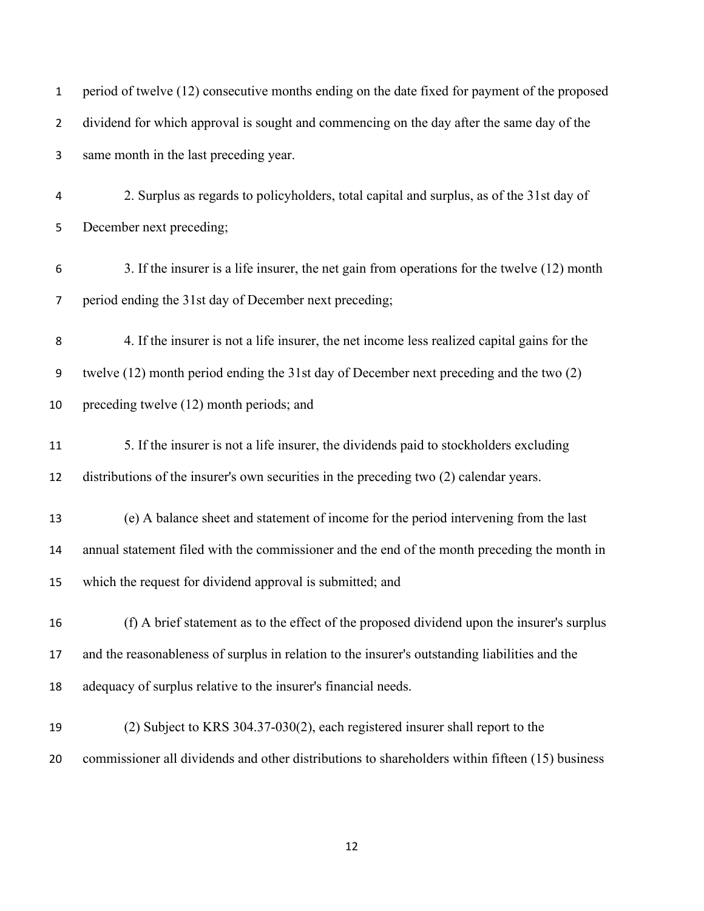| $\mathbf{1}$   | period of twelve (12) consecutive months ending on the date fixed for payment of the proposed   |
|----------------|-------------------------------------------------------------------------------------------------|
| $\overline{2}$ | dividend for which approval is sought and commencing on the day after the same day of the       |
| 3              | same month in the last preceding year.                                                          |
| 4              | 2. Surplus as regards to policyholders, total capital and surplus, as of the 31st day of        |
| 5              | December next preceding;                                                                        |
| 6              | 3. If the insurer is a life insurer, the net gain from operations for the twelve (12) month     |
| 7              | period ending the 31st day of December next preceding;                                          |
| 8              | 4. If the insurer is not a life insurer, the net income less realized capital gains for the     |
| 9              | twelve (12) month period ending the 31st day of December next preceding and the two (2)         |
| 10             | preceding twelve (12) month periods; and                                                        |
| 11             | 5. If the insurer is not a life insurer, the dividends paid to stockholders excluding           |
| 12             | distributions of the insurer's own securities in the preceding two (2) calendar years.          |
| 13             | (e) A balance sheet and statement of income for the period intervening from the last            |
| 14             | annual statement filed with the commissioner and the end of the month preceding the month in    |
| 15             | which the request for dividend approval is submitted; and                                       |
| 16             | (f) A brief statement as to the effect of the proposed dividend upon the insurer's surplus      |
| 17             | and the reasonableness of surplus in relation to the insurer's outstanding liabilities and the  |
| 18             | adequacy of surplus relative to the insurer's financial needs.                                  |
| 19             | $(2)$ Subject to KRS 304.37-030 $(2)$ , each registered insurer shall report to the             |
| 20             | commissioner all dividends and other distributions to shareholders within fifteen (15) business |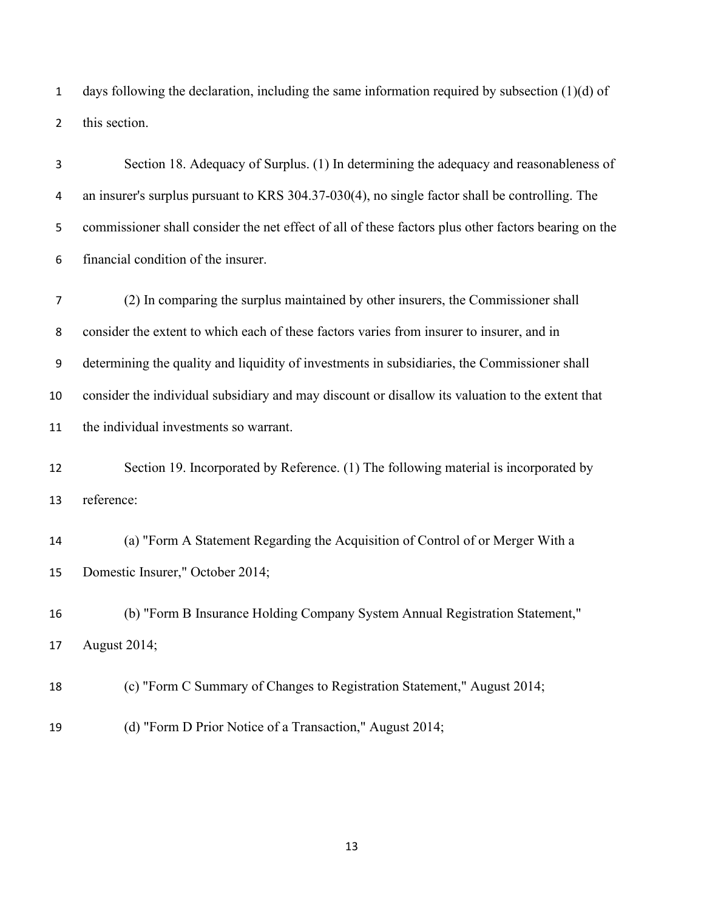1 days following the declaration, including the same information required by subsection  $(1)(d)$  of this section.

 Section 18. Adequacy of Surplus. (1) In determining the adequacy and reasonableness of an insurer's surplus pursuant to KRS 304.37-030(4), no single factor shall be controlling. The commissioner shall consider the net effect of all of these factors plus other factors bearing on the financial condition of the insurer. (2) In comparing the surplus maintained by other insurers, the Commissioner shall consider the extent to which each of these factors varies from insurer to insurer, and in determining the quality and liquidity of investments in subsidiaries, the Commissioner shall consider the individual subsidiary and may discount or disallow its valuation to the extent that the individual investments so warrant. 12 Section 19. Incorporated by Reference. (1) The following material is incorporated by reference: (a) "Form A Statement Regarding the Acquisition of Control of or Merger With a Domestic Insurer," October 2014;

 (b) "Form B Insurance Holding Company System Annual Registration Statement," August 2014;

(c) "Form C Summary of Changes to Registration Statement," August 2014;

(d) "Form D Prior Notice of a Transaction," August 2014;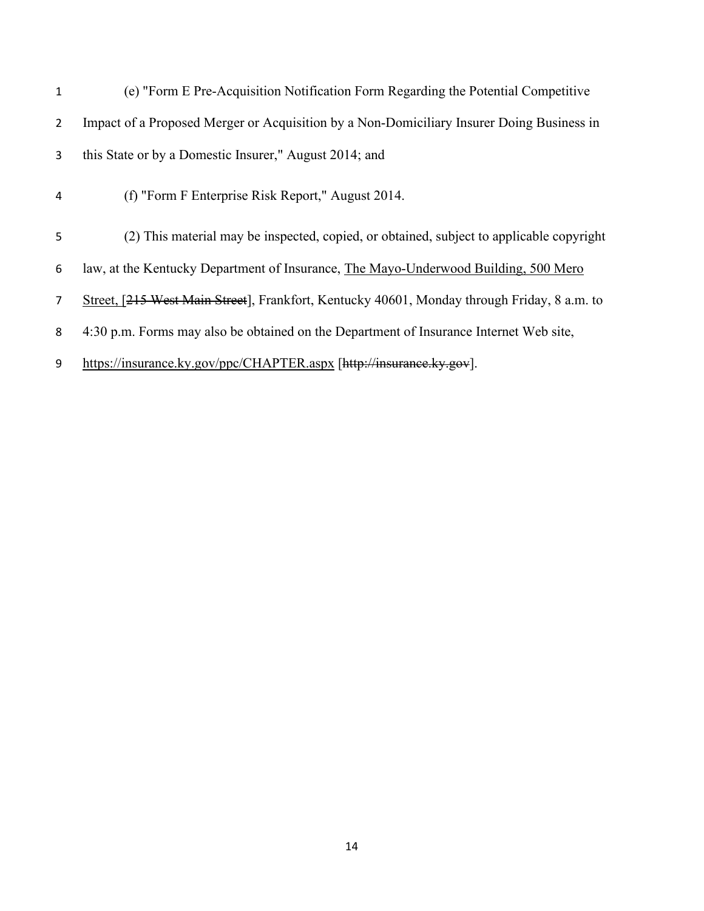| $\mathbf{1}$   | (e) "Form E Pre-Acquisition Notification Form Regarding the Potential Competitive           |
|----------------|---------------------------------------------------------------------------------------------|
| $\overline{2}$ | Impact of a Proposed Merger or Acquisition by a Non-Domiciliary Insurer Doing Business in   |
| 3              | this State or by a Domestic Insurer," August 2014; and                                      |
| 4              | (f) "Form F Enterprise Risk Report," August 2014.                                           |
| 5              | (2) This material may be inspected, copied, or obtained, subject to applicable copyright    |
| 6              | law, at the Kentucky Department of Insurance, The Mayo-Underwood Building, 500 Mero         |
| $\overline{7}$ | Street, [215 West Main Street], Frankfort, Kentucky 40601, Monday through Friday, 8 a.m. to |
| 8              | 4:30 p.m. Forms may also be obtained on the Department of Insurance Internet Web site,      |
| 9              | https://insurance.ky.gov/ppc/CHAPTER.aspx [http://insurance.ky.gov].                        |